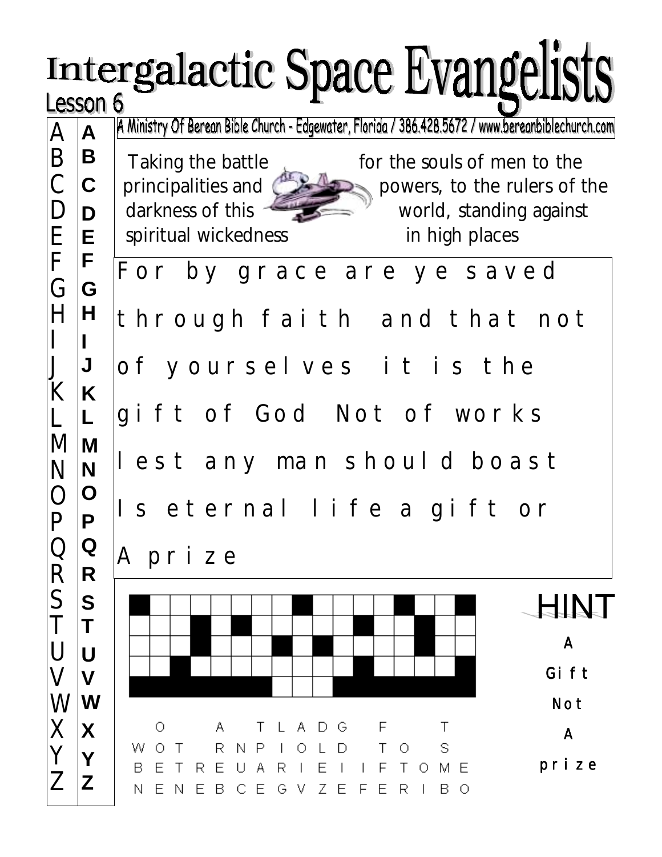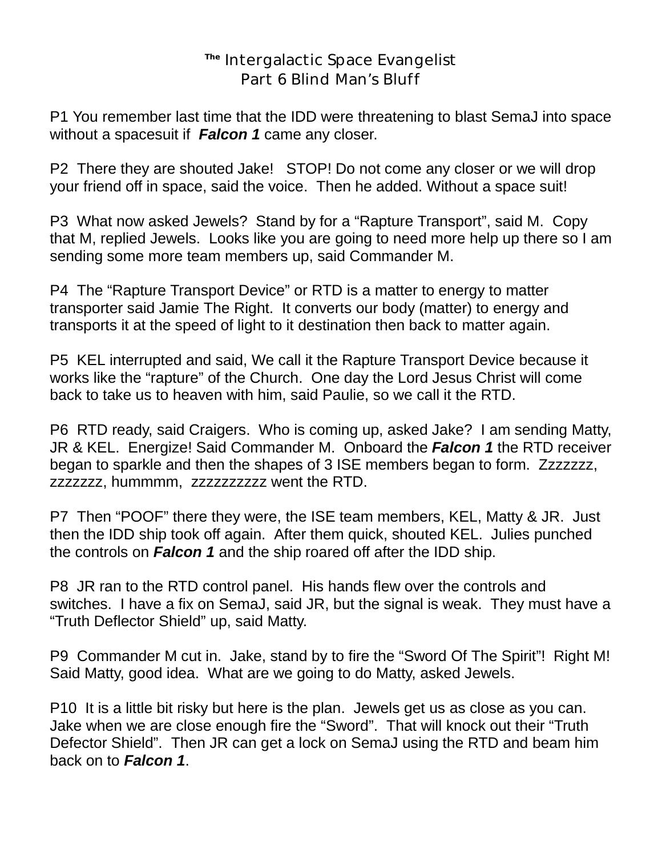## **The** Intergalactic Space Evangelist Part 6 Blind Man's Bluff

P1 You remember last time that the IDD were threatening to blast SemaJ into space without a spacesuit if *Falcon 1* came any closer.

P2 There they are shouted Jake! STOP! Do not come any closer or we will drop your friend off in space, said the voice. Then he added. Without a space suit!

P3 What now asked Jewels? Stand by for a "Rapture Transport", said M. Copy that M, replied Jewels. Looks like you are going to need more help up there so I am sending some more team members up, said Commander M.

P4 The "Rapture Transport Device" or RTD is a matter to energy to matter transporter said Jamie The Right. It converts our body (matter) to energy and transports it at the speed of light to it destination then back to matter again.

P5 KEL interrupted and said, We call it the Rapture Transport Device because it works like the "rapture" of the Church. One day the Lord Jesus Christ will come back to take us to heaven with him, said Paulie, so we call it the RTD.

P6 RTD ready, said Craigers. Who is coming up, asked Jake? I am sending Matty, JR & KEL. Energize! Said Commander M. Onboard the *Falcon 1* the RTD receiver began to sparkle and then the shapes of 3 ISE members began to form. Zzzzzzz, zzzzzzz, hummmm, zzzzzzzzzz went the RTD.

P7 Then "POOF" there they were, the ISE team members, KEL, Matty & JR. Just then the IDD ship took off again. After them quick, shouted KEL. Julies punched the controls on *Falcon 1* and the ship roared off after the IDD ship.

P8 JR ran to the RTD control panel. His hands flew over the controls and switches. I have a fix on SemaJ, said JR, but the signal is weak. They must have a "Truth Deflector Shield" up, said Matty.

P9 Commander M cut in. Jake, stand by to fire the "Sword Of The Spirit"! Right M! Said Matty, good idea. What are we going to do Matty, asked Jewels.

P10 It is a little bit risky but here is the plan. Jewels get us as close as you can. Jake when we are close enough fire the "Sword". That will knock out their "Truth Defector Shield". Then JR can get a lock on SemaJ using the RTD and beam him back on to *Falcon 1*.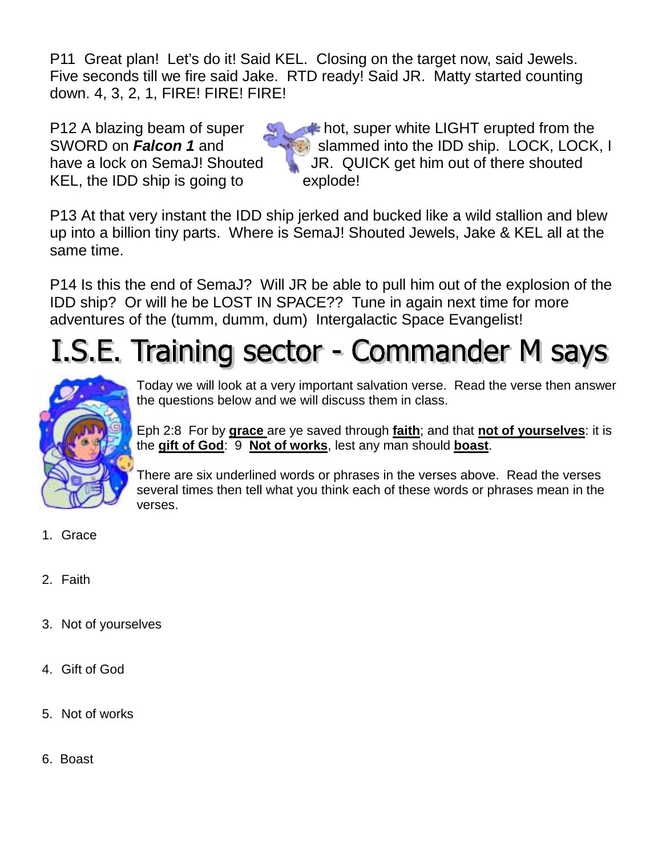P11 Great plan! Let's do it! Said KEL. Closing on the target now, said Jewels. Five seconds till we fire said Jake. RTD ready! Said JR. Matty started counting down. 4, 3, 2, 1, FIRE! FIRE! FIRE!

KEL, the IDD ship is going to explode!

P12 A blazing beam of super **the superfull super white LIGHT** erupted from the SWORD on **Falcon 1** and slammed into the IDD ship. LOCK, LOCK, I have a lock on SemaJ! Shouted JR. QUICK get him out of there shouted

P13 At that very instant the IDD ship jerked and bucked like a wild stallion and blew up into a billion tiny parts. Where is SemaJ! Shouted Jewels, Jake & KEL all at the same time.

P14 Is this the end of SemaJ? Will JR be able to pull him out of the explosion of the IDD ship? Or will he be LOST IN SPACE?? Tune in again next time for more adventures of the (tumm, dumm, dum) Intergalactic Space Evangelist!

## I.S.E. Training sector - Commander M says



Today we will look at a very important salvation verse. Read the verse then answer the questions below and we will discuss them in class.

Eph 2:8 For by **grace** are ye saved through **faith**; and that **not of yourselves**: it is the **gift of God**: 9 **Not of works**, lest any man should **boast**.

There are six underlined words or phrases in the verses above. Read the verses several times then tell what you think each of these words or phrases mean in the verses.

- 1. Grace
- 2. Faith
- 3. Not of yourselves
- 4. Gift of God
- 5. Not of works
- 6. Boast